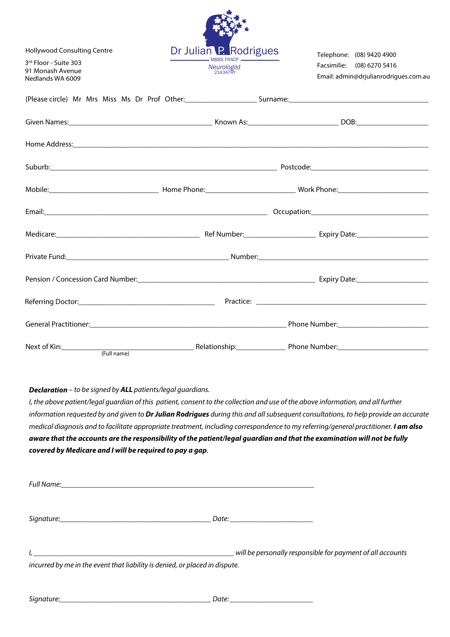| <b>Hollywood Consulting Centre</b>                            | Dr Julian P. Rodrigues                                                                                                                                                                                                         | Telephone: (08) 9420 4900                                           |
|---------------------------------------------------------------|--------------------------------------------------------------------------------------------------------------------------------------------------------------------------------------------------------------------------------|---------------------------------------------------------------------|
| 3rd Floor - Suite 303<br>91 Monash Avenue<br>Nedlands WA 6009 | <b>MBBS FRACP -</b><br>Neurologist<br>214347RY                                                                                                                                                                                 | Facsimilie: (08) 6270 5416<br>Email: admin@drjulianrodrigues.com.au |
|                                                               |                                                                                                                                                                                                                                |                                                                     |
|                                                               |                                                                                                                                                                                                                                |                                                                     |
|                                                               | Home Address: 1988 and 2008 and 2008 and 2008 and 2008 and 2008 and 2008 and 2008 and 2008 and 2008 and 2008 and 2008 and 2008 and 2008 and 2008 and 2008 and 2008 and 2008 and 2008 and 2008 and 2008 and 2008 and 2008 and 2 |                                                                     |
|                                                               |                                                                                                                                                                                                                                |                                                                     |
|                                                               |                                                                                                                                                                                                                                |                                                                     |
|                                                               |                                                                                                                                                                                                                                |                                                                     |
|                                                               |                                                                                                                                                                                                                                |                                                                     |
|                                                               | Private Fund: Number: Number: Number: Number: Number: Number: Number: Number: Number: Number: Number: Number: Number: Number: Number: Number: Number: Number: Number: Number: Number: Number: Number: Number: Number: Number:  |                                                                     |
|                                                               |                                                                                                                                                                                                                                |                                                                     |
|                                                               |                                                                                                                                                                                                                                |                                                                     |
|                                                               |                                                                                                                                                                                                                                |                                                                     |
| (Full name)                                                   |                                                                                                                                                                                                                                |                                                                     |

不安。

# **Declaration** – to be signed by **ALL** patients/legal guardians.

I, the above patient/legal guardian of this patient, consent to the collection and use of the above information, and all further information requested by and given to **Dr Julian Rodrigues** during this and all subsequent consultations, to help provide an accurate medical diagnosis and to facilitate appropriate treatment, including correspondence to my referring/general practitioner. **I am also aware that the accounts are the responsibility of the patient/legal guardian and that the examination will not be fully covered by Medicare and I will be required to pay a gap**.

| Full Name: The Commission of the Commission of the Commission of the Commission of the Commission of the Commission |                                                            |
|---------------------------------------------------------------------------------------------------------------------|------------------------------------------------------------|
|                                                                                                                     | Date: _________________________                            |
| incurred by me in the event that liability is denied, or placed in dispute.                                         | will be personally responsible for payment of all accounts |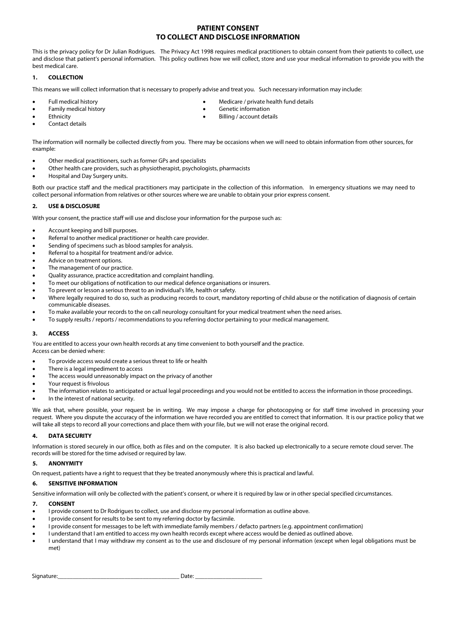## **PATIENT CONSENT TO COLLECT AND DISCLOSE INFORMATION**

This is the privacy policy for Dr Julian Rodrigues. The Privacy Act 1998 requires medical practitioners to obtain consent from their patients to collect, use and disclose that patient's personal information. This policy outlines how we will collect, store and use your medical information to provide you with the best medical care.

### **1. COLLECTION**

This means we will collect information that is necessary to properly advise and treat you. Such necessary information may include:

- Full medical history
- Family medical history **Ethnicity**
- Medicare / private health fund details • Genetic information
- Billing / account details
- Contact details
- The information will normally be collected directly from you. There may be occasions when we will need to obtain information from other sources, for example:
- Other medical practitioners, such as former GPs and specialists
- Other health care providers, such as physiotherapist, psychologists, pharmacists
- Hospital and Day Surgery units.

Both our practice staff and the medical practitioners may participate in the collection of this information. In emergency situations we may need to collect personal information from relatives or other sources where we are unable to obtain your prior express consent.

#### **2. USE & DISCLOSURE**

With your consent, the practice staff will use and disclose your information for the purpose such as:

- Account keeping and bill purposes.
- Referral to another medical practitioner or health care provider.
- Sending of specimens such as blood samples for analysis.
- Referral to a hospital for treatment and/or advice.
- Advice on treatment options.
- The management of our practice.
- Quality assurance, practice accreditation and complaint handling.
- To meet our obligations of notification to our medical defence organisations or insurers.
- To prevent or lesson a serious threat to an individual's life, health or safety.
- Where legally required to do so, such as producing records to court, mandatory reporting of child abuse or the notification of diagnosis of certain communicable diseases.
- To make available your records to the on call neurology consultant for your medical treatment when the need arises.
- To supply results / reports / recommendations to you referring doctor pertaining to your medical management.

#### **3. ACCESS**

You are entitled to access your own health records at any time convenient to both yourself and the practice.

Access can be denied where:

- To provide access would create a serious threat to life or health
- There is a legal impediment to access
- The access would unreasonably impact on the privacy of another
- Your request is frivolous
- The information relates to anticipated or actual legal proceedings and you would not be entitled to access the information in those proceedings.
- In the interest of national security.

We ask that, where possible, your request be in writing. We may impose a charge for photocopying or for staff time involved in processing your request. Where you dispute the accuracy of the information we have recorded you are entitled to correct that information. It is our practice policy that we will take all steps to record all your corrections and place them with your file, but we will not erase the original record.

### **4. DATA SECURITY**

Information is stored securely in our office, both as files and on the computer. It is also backed up electronically to a secure remote cloud server. The records will be stored for the time advised or required by law.

#### **5. ANONYMITY**

On request, patients have a right to request that they be treated anonymously where this is practical and lawful.

### **6. SENSITIVE INFORMATION**

Sensitive information will only be collected with the patient's consent, or where it is required by law or in other special specified circumstances.

#### **7. CONSENT**

- I provide consent to Dr Rodrigues to collect, use and disclose my personal information as outline above.
- I provide consent for results to be sent to my referring doctor by facsimile.
- I provide consent for messages to be left with immediate family members / defacto partners (e.g. appointment confirmation)
- I understand that I am entitled to access my own health records except where access would be denied as outlined above.
- I understand that I may withdraw my consent as to the use and disclosure of my personal information (except when legal obligations must be met)

Signature:\_\_\_\_\_\_\_\_\_\_\_\_\_\_\_\_\_\_\_\_\_\_\_\_\_\_\_\_\_\_\_\_\_\_\_\_\_\_\_\_ Date: \_\_\_\_\_\_\_\_\_\_\_\_\_\_\_\_\_\_\_\_\_\_